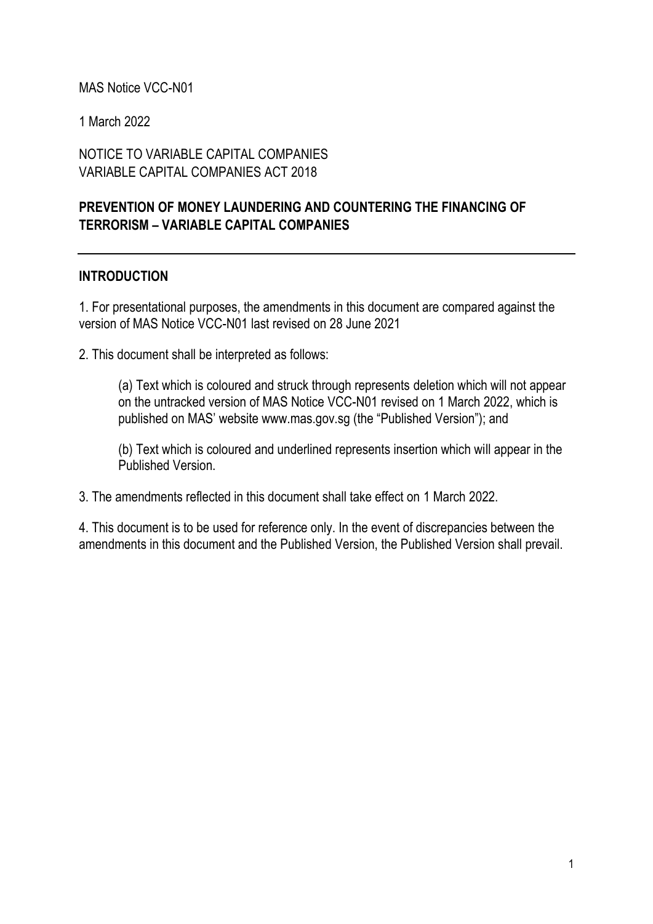#### MAS Notice VCC-N01

1 March 2022

#### NOTICE TO VARIABLE CAPITAL COMPANIES VARIABLE CAPITAL COMPANIES ACT 2018

## **PREVENTION OF MONEY LAUNDERING AND COUNTERING THE FINANCING OF TERRORISM – VARIABLE CAPITAL COMPANIES**

#### **INTRODUCTION**

1. For presentational purposes, the amendments in this document are compared against the version of MAS Notice VCC-N01 last revised on 28 June 2021

2. This document shall be interpreted as follows:

(a) Text which is coloured and struck through represents deletion which will not appear on the untracked version of MAS Notice VCC-N01 revised on 1 March 2022, which is published on MAS' website www.mas.gov.sg (the "Published Version"); and

(b) Text which is coloured and underlined represents insertion which will appear in the Published Version.

3. The amendments reflected in this document shall take effect on 1 March 2022.

4. This document is to be used for reference only. In the event of discrepancies between the amendments in this document and the Published Version, the Published Version shall prevail.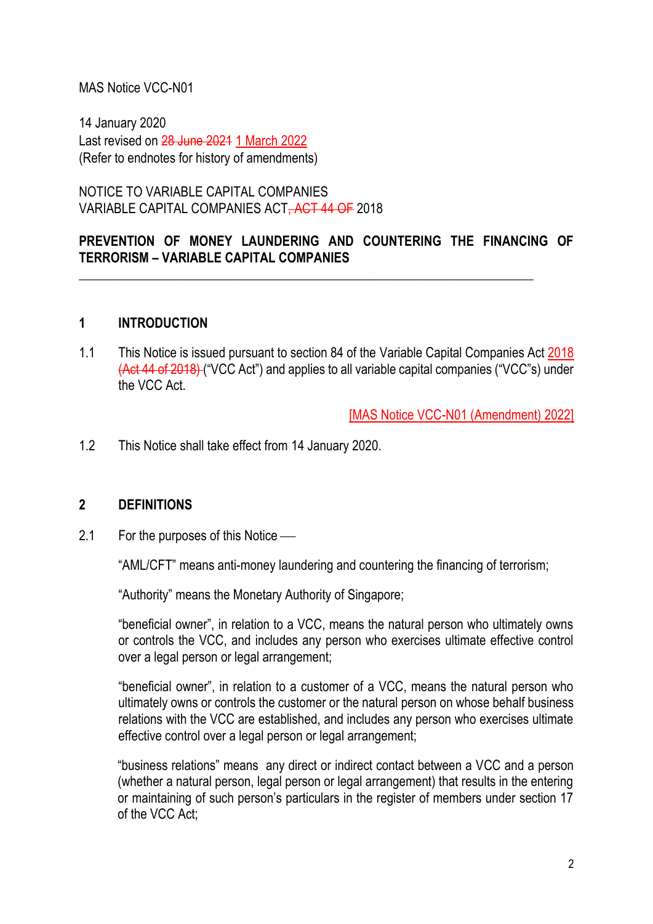#### MAS Notice VCC-N01

14 January 2020 Last revised on 28 June 2021 1 March 2022 (Refer to endnotes for history of amendments)

NOTICE TO VARIABLE CAPITAL COMPANIES VARIABLE CAPITAL COMPANIES ACT, ACT 44 OF 2018

## **PREVENTION OF MONEY LAUNDERING AND COUNTERING THE FINANCING OF TERRORISM – VARIABLE CAPITAL COMPANIES**

\_\_\_\_\_\_\_\_\_\_\_\_\_\_\_\_\_\_\_\_\_\_\_\_\_\_\_\_\_\_\_\_\_\_\_\_\_\_\_\_\_\_\_\_\_\_\_\_\_\_\_\_\_\_\_\_\_\_\_\_\_\_\_\_\_\_\_\_\_\_

#### **1 INTRODUCTION**

1.1 This Notice is issued pursuant to section 84 of the Variable Capital Companies Act 2018 (Act 44 of 2018) ("VCC Act") and applies to all variable capital companies ("VCC"s) under the VCC Act.

[MAS Notice VCC-N01 (Amendment) 2022]

1.2 This Notice shall take effect from 14 January 2020.

#### **2 DEFINITIONS**

2.1 For the purposes of this Notice —

"AML/CFT" means anti-money laundering and countering the financing of terrorism;

"Authority" means the Monetary Authority of Singapore;

"beneficial owner", in relation to a VCC, means the natural person who ultimately owns or controls the VCC, and includes any person who exercises ultimate effective control over a legal person or legal arrangement;

"beneficial owner", in relation to a customer of a VCC, means the natural person who ultimately owns or controls the customer or the natural person on whose behalf business relations with the VCC are established, and includes any person who exercises ultimate effective control over a legal person or legal arrangement;

"business relations" means any direct or indirect contact between a VCC and a person (whether a natural person, legal person or legal arrangement) that results in the entering or maintaining of such person's particulars in the register of members under section 17 of the VCC Act;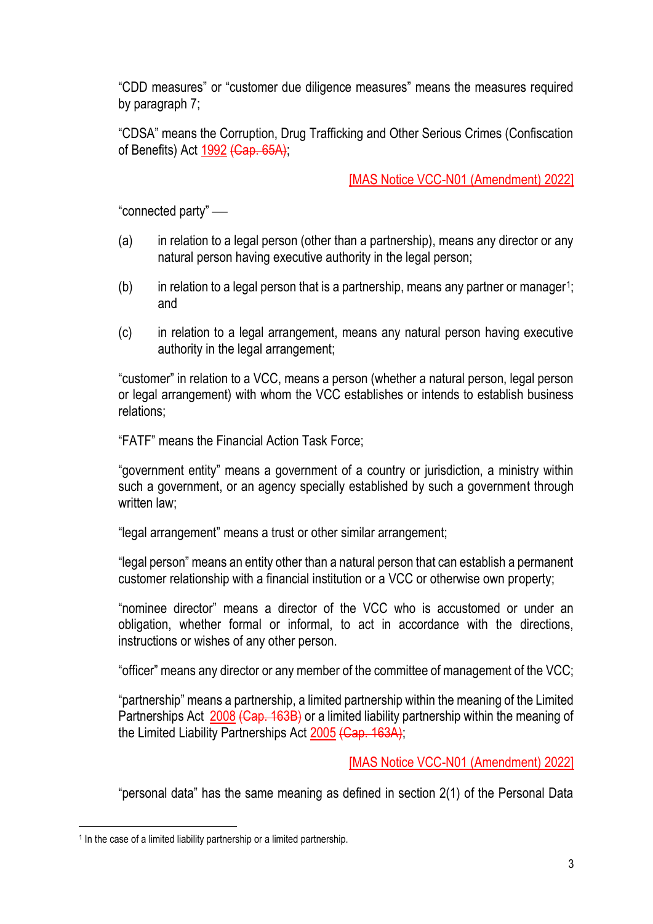"CDD measures" or "customer due diligence measures" means the measures required by paragraph 7;

"CDSA" means the Corruption, Drug Trafficking and Other Serious Crimes (Confiscation of Benefits) Act 1992 (Cap. 65A);

[MAS Notice VCC-N01 (Amendment) 2022]

"connected party" —

- (a) in relation to a legal person (other than a partnership), means any director or any natural person having executive authority in the legal person;
- $(b)$  in relation to a legal person that is a partnership, means any partner or manager<sup>1</sup>; and
- (c) in relation to a legal arrangement, means any natural person having executive authority in the legal arrangement;

"customer" in relation to a VCC, means a person (whether a natural person, legal person or legal arrangement) with whom the VCC establishes or intends to establish business relations;

"FATF" means the Financial Action Task Force;

"government entity" means a government of a country or jurisdiction, a ministry within such a government, or an agency specially established by such a government through written law;

"legal arrangement" means a trust or other similar arrangement;

"legal person" means an entity other than a natural person that can establish a permanent customer relationship with a financial institution or a VCC or otherwise own property;

"nominee director" means a director of the VCC who is accustomed or under an obligation, whether formal or informal, to act in accordance with the directions, instructions or wishes of any other person.

"officer" means any director or any member of the committee of management of the VCC;

"partnership" means a partnership, a limited partnership within the meaning of the Limited Partnerships Act 2008 (Cap. 163B) or a limited liability partnership within the meaning of the Limited Liability Partnerships Act 2005 (Cap. 163A);

[MAS Notice VCC-N01 (Amendment) 2022]

"personal data" has the same meaning as defined in section 2(1) of the Personal Data

<sup>&</sup>lt;sup>1</sup> In the case of a limited liability partnership or a limited partnership.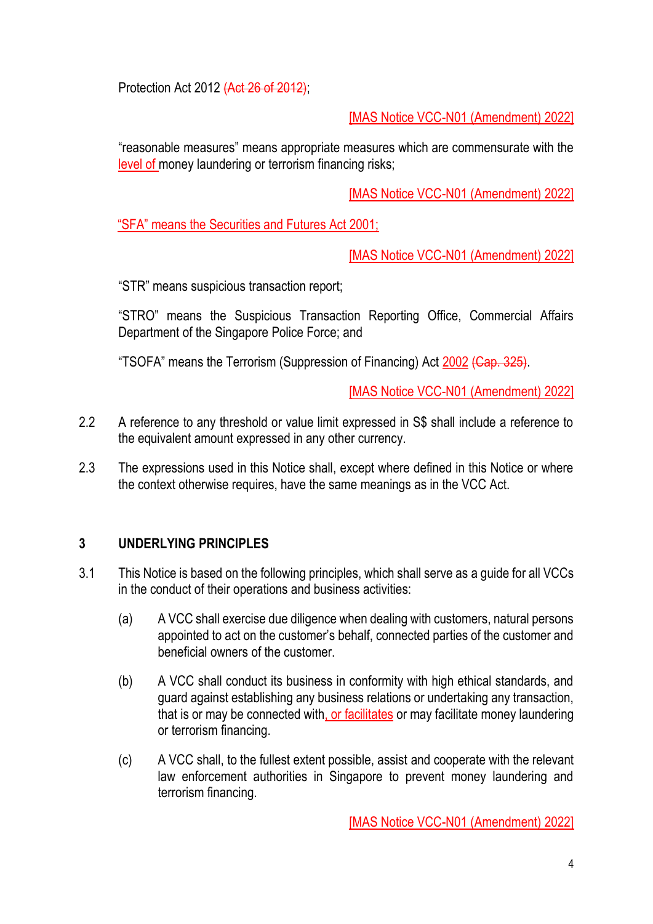Protection Act 2012 (Act 26 of 2012);

[MAS Notice VCC-N01 (Amendment) 2022]

"reasonable measures" means appropriate measures which are commensurate with the level of money laundering or terrorism financing risks;

[MAS Notice VCC-N01 (Amendment) 2022]

"SFA" means the Securities and Futures Act 2001;

[MAS Notice VCC-N01 (Amendment) 2022]

"STR" means suspicious transaction report;

"STRO" means the Suspicious Transaction Reporting Office, Commercial Affairs Department of the Singapore Police Force; and

"TSOFA" means the Terrorism (Suppression of Financing) Act 2002 (Cap. 325).

[MAS Notice VCC-N01 (Amendment) 2022]

- 2.2 A reference to any threshold or value limit expressed in S\$ shall include a reference to the equivalent amount expressed in any other currency.
- 2.3 The expressions used in this Notice shall, except where defined in this Notice or where the context otherwise requires, have the same meanings as in the VCC Act.

## **3 UNDERLYING PRINCIPLES**

- 3.1 This Notice is based on the following principles, which shall serve as a guide for all VCCs in the conduct of their operations and business activities:
	- (a) A VCC shall exercise due diligence when dealing with customers, natural persons appointed to act on the customer's behalf, connected parties of the customer and beneficial owners of the customer.
	- (b) A VCC shall conduct its business in conformity with high ethical standards, and guard against establishing any business relations or undertaking any transaction, that is or may be connected with, or facilitates or may facilitate money laundering or terrorism financing.
	- (c) A VCC shall, to the fullest extent possible, assist and cooperate with the relevant law enforcement authorities in Singapore to prevent money laundering and terrorism financing.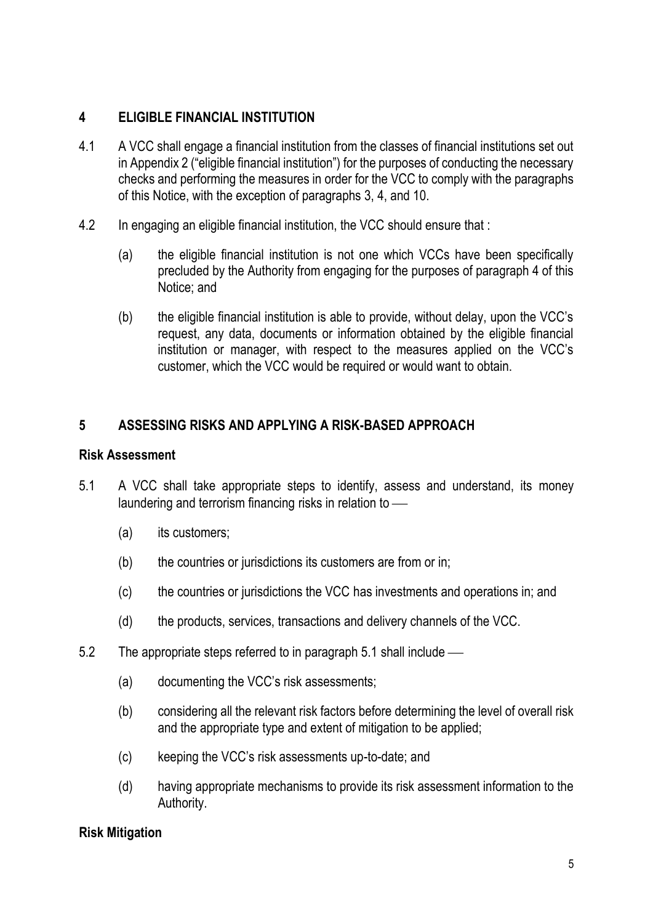## **4 ELIGIBLE FINANCIAL INSTITUTION**

- 4.1 A VCC shall engage a financial institution from the classes of financial institutions set out in Appendix 2 ("eligible financial institution") for the purposes of conducting the necessary checks and performing the measures in order for the VCC to comply with the paragraphs of this Notice, with the exception of paragraphs 3, 4, and 10.
- 4.2 In engaging an eligible financial institution, the VCC should ensure that :
	- (a) the eligible financial institution is not one which VCCs have been specifically precluded by the Authority from engaging for the purposes of paragraph 4 of this Notice; and
	- (b) the eligible financial institution is able to provide, without delay, upon the VCC's request, any data, documents or information obtained by the eligible financial institution or manager, with respect to the measures applied on the VCC's customer, which the VCC would be required or would want to obtain.

# **5 ASSESSING RISKS AND APPLYING A RISK-BASED APPROACH**

#### **Risk Assessment**

- 5.1 A VCC shall take appropriate steps to identify, assess and understand, its money laundering and terrorism financing risks in relation to -
	- (a) its customers;
	- (b) the countries or jurisdictions its customers are from or in;
	- (c) the countries or jurisdictions the VCC has investments and operations in; and
	- (d) the products, services, transactions and delivery channels of the VCC.
- 5.2 The appropriate steps referred to in paragraph 5.1 shall include
	- (a) documenting the VCC's risk assessments;
	- (b) considering all the relevant risk factors before determining the level of overall risk and the appropriate type and extent of mitigation to be applied;
	- (c) keeping the VCC's risk assessments up-to-date; and
	- (d) having appropriate mechanisms to provide its risk assessment information to the Authority.

## **Risk Mitigation**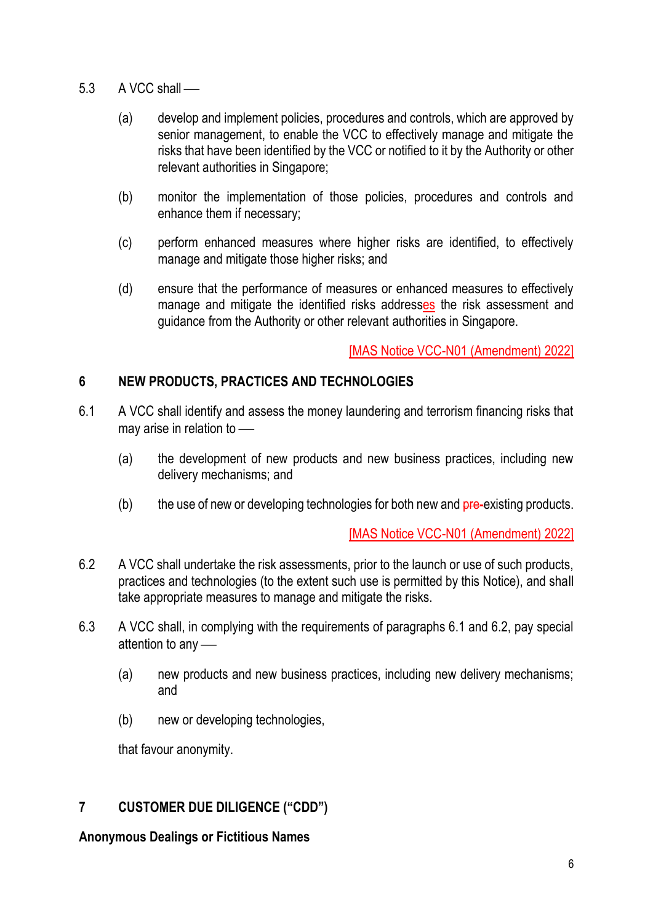- $5.3$  A VCC shall
	- (a) develop and implement policies, procedures and controls, which are approved by senior management, to enable the VCC to effectively manage and mitigate the risks that have been identified by the VCC or notified to it by the Authority or other relevant authorities in Singapore;
	- (b) monitor the implementation of those policies, procedures and controls and enhance them if necessary;
	- (c) perform enhanced measures where higher risks are identified, to effectively manage and mitigate those higher risks; and
	- (d) ensure that the performance of measures or enhanced measures to effectively manage and mitigate the identified risks addresses the risk assessment and guidance from the Authority or other relevant authorities in Singapore.

## **6 NEW PRODUCTS, PRACTICES AND TECHNOLOGIES**

- 6.1 A VCC shall identify and assess the money laundering and terrorism financing risks that may arise in relation to  $-$ 
	- (a) the development of new products and new business practices, including new delivery mechanisms; and
	- $(b)$  the use of new or developing technologies for both new and  $pre-existing$  products.

[MAS Notice VCC-N01 (Amendment) 2022]

- 6.2 A VCC shall undertake the risk assessments, prior to the launch or use of such products, practices and technologies (to the extent such use is permitted by this Notice), and shall take appropriate measures to manage and mitigate the risks.
- 6.3 A VCC shall, in complying with the requirements of paragraphs 6.1 and 6.2, pay special attention to any  $-$ 
	- (a) new products and new business practices, including new delivery mechanisms; and
	- (b) new or developing technologies,

that favour anonymity.

## **7 CUSTOMER DUE DILIGENCE ("CDD")**

**Anonymous Dealings or Fictitious Names**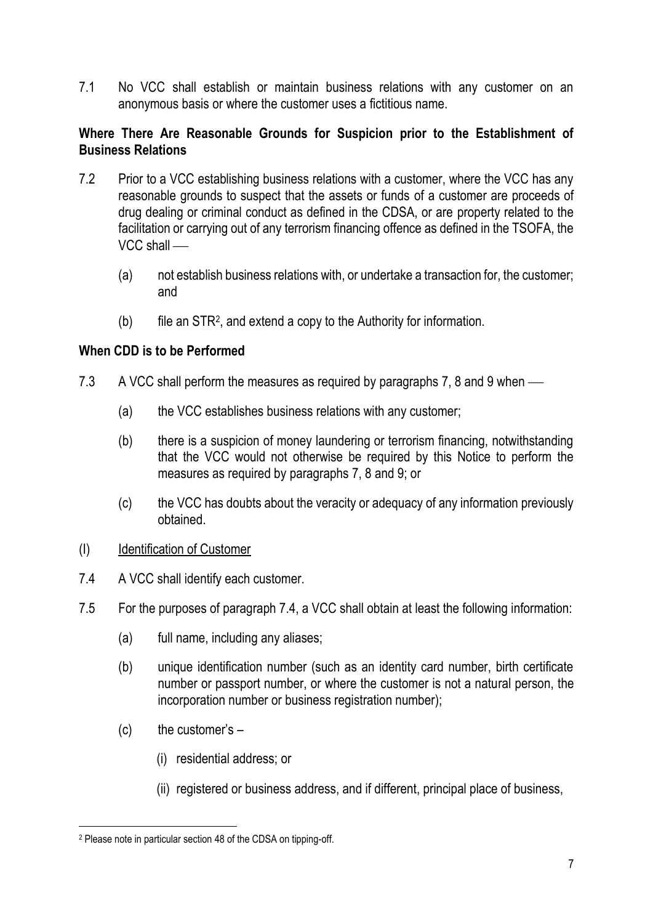7.1 No VCC shall establish or maintain business relations with any customer on an anonymous basis or where the customer uses a fictitious name.

#### **Where There Are Reasonable Grounds for Suspicion prior to the Establishment of Business Relations**

- 7.2 Prior to a VCC establishing business relations with a customer, where the VCC has any reasonable grounds to suspect that the assets or funds of a customer are proceeds of drug dealing or criminal conduct as defined in the CDSA, or are property related to the facilitation or carrying out of any terrorism financing offence as defined in the TSOFA, the  $VCC$  shall  $-$ 
	- (a) not establish business relations with, or undertake a transaction for, the customer; and
	- $(b)$  file an STR<sup>2</sup>, and extend a copy to the Authority for information.

## **When CDD is to be Performed**

- 7.3 A VCC shall perform the measures as required by paragraphs 7, 8 and 9 when  $\sim$ 
	- (a) the VCC establishes business relations with any customer;
	- (b) there is a suspicion of money laundering or terrorism financing, notwithstanding that the VCC would not otherwise be required by this Notice to perform the measures as required by paragraphs 7, 8 and 9; or
	- (c) the VCC has doubts about the veracity or adequacy of any information previously obtained.

#### (I) Identification of Customer

- 7.4 A VCC shall identify each customer.
- 7.5 For the purposes of paragraph 7.4, a VCC shall obtain at least the following information:
	- (a) full name, including any aliases;
	- (b) unique identification number (such as an identity card number, birth certificate number or passport number, or where the customer is not a natural person, the incorporation number or business registration number);
	- $(c)$  the customer's  $-$ 
		- (i) residential address; or
		- (ii) registered or business address, and if different, principal place of business,

<sup>2</sup> Please note in particular section 48 of the CDSA on tipping-off.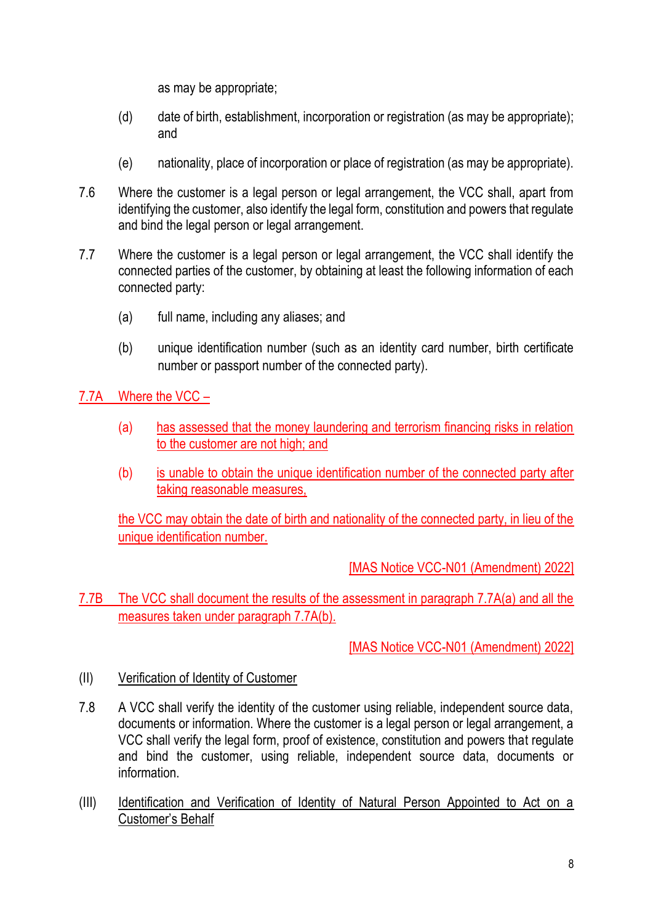as may be appropriate;

- (d) date of birth, establishment, incorporation or registration (as may be appropriate); and
- (e) nationality, place of incorporation or place of registration (as may be appropriate).
- 7.6 Where the customer is a legal person or legal arrangement, the VCC shall, apart from identifying the customer, also identify the legal form, constitution and powers that regulate and bind the legal person or legal arrangement.
- 7.7 Where the customer is a legal person or legal arrangement, the VCC shall identify the connected parties of the customer, by obtaining at least the following information of each connected party:
	- (a) full name, including any aliases; and
	- (b) unique identification number (such as an identity card number, birth certificate number or passport number of the connected party).

7.7A Where the VCC –

- (a) has assessed that the money laundering and terrorism financing risks in relation to the customer are not high; and
- (b) is unable to obtain the unique identification number of the connected party after taking reasonable measures,

the VCC may obtain the date of birth and nationality of the connected party, in lieu of the unique identification number.

[MAS Notice VCC-N01 (Amendment) 2022]

7.7B The VCC shall document the results of the assessment in paragraph 7.7A(a) and all the measures taken under paragraph 7.7A(b).

- (II) Verification of Identity of Customer
- 7.8 A VCC shall verify the identity of the customer using reliable, independent source data, documents or information. Where the customer is a legal person or legal arrangement, a VCC shall verify the legal form, proof of existence, constitution and powers that regulate and bind the customer, using reliable, independent source data, documents or information.
- (III) Identification and Verification of Identity of Natural Person Appointed to Act on a Customer's Behalf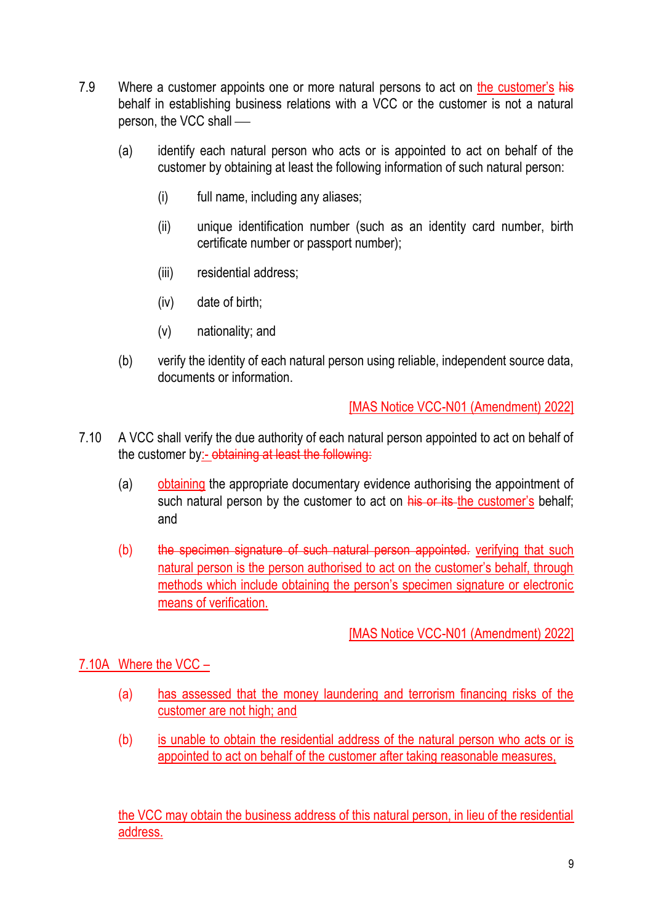- 7.9 Where a customer appoints one or more natural persons to act on the customer's his behalf in establishing business relations with a VCC or the customer is not a natural person, the VCC shall —
	- (a) identify each natural person who acts or is appointed to act on behalf of the customer by obtaining at least the following information of such natural person:
		- (i) full name, including any aliases;
		- (ii) unique identification number (such as an identity card number, birth certificate number or passport number);
		- (iii) residential address;
		- (iv) date of birth;
		- (v) nationality; and
	- (b) verify the identity of each natural person using reliable, independent source data, documents or information.

- 7.10 A VCC shall verify the due authority of each natural person appointed to act on behalf of the customer by:- obtaining at least the following:
	- (a) obtaining the appropriate documentary evidence authorising the appointment of such natural person by the customer to act on his or its the customer's behalf; and
	- (b) the specimen signature of such natural person appointed. verifying that such natural person is the person authorised to act on the customer's behalf, through methods which include obtaining the person's specimen signature or electronic means of verification.

## [MAS Notice VCC-N01 (Amendment) 2022]

#### 7.10A Where the VCC –

- (a) has assessed that the money laundering and terrorism financing risks of the customer are not high; and
- (b) is unable to obtain the residential address of the natural person who acts or is appointed to act on behalf of the customer after taking reasonable measures,

the VCC may obtain the business address of this natural person, in lieu of the residential address.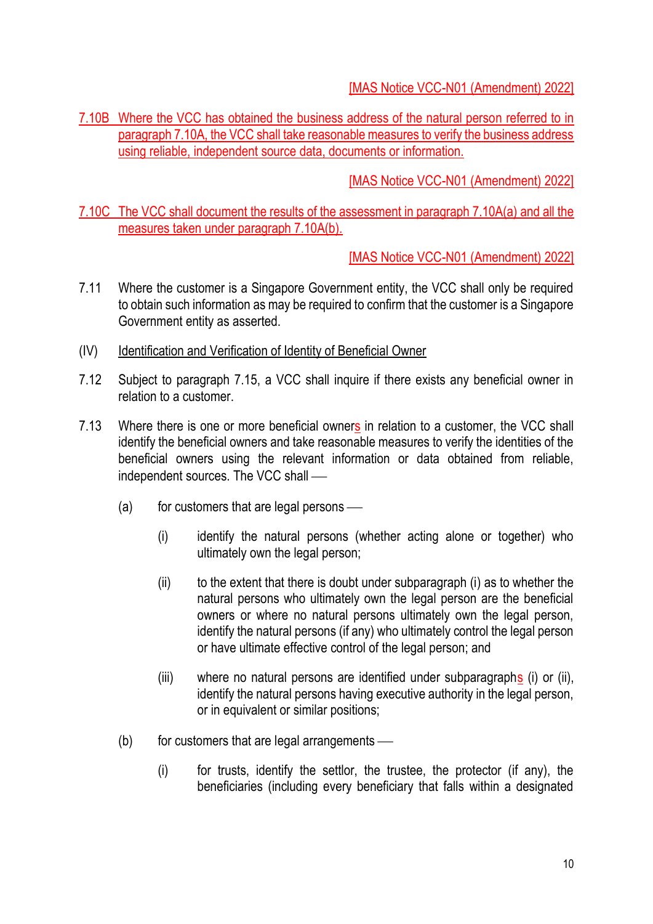7.10B Where the VCC has obtained the business address of the natural person referred to in paragraph 7.10A, the VCC shall take reasonable measures to verify the business address using reliable, independent source data, documents or information.

[MAS Notice VCC-N01 (Amendment) 2022]

7.10C The VCC shall document the results of the assessment in paragraph 7.10A(a) and all the measures taken under paragraph 7.10A(b).

- 7.11 Where the customer is a Singapore Government entity, the VCC shall only be required to obtain such information as may be required to confirm that the customer is a Singapore Government entity as asserted.
- (IV) Identification and Verification of Identity of Beneficial Owner
- 7.12 Subject to paragraph 7.15, a VCC shall inquire if there exists any beneficial owner in relation to a customer.
- 7.13 Where there is one or more beneficial owners in relation to a customer, the VCC shall identify the beneficial owners and take reasonable measures to verify the identities of the beneficial owners using the relevant information or data obtained from reliable, independent sources. The VCC shall  $-$ 
	- $(a)$  for customers that are legal persons
		- (i) identify the natural persons (whether acting alone or together) who ultimately own the legal person;
		- (ii) to the extent that there is doubt under subparagraph (i) as to whether the natural persons who ultimately own the legal person are the beneficial owners or where no natural persons ultimately own the legal person, identify the natural persons (if any) who ultimately control the legal person or have ultimate effective control of the legal person; and
		- (iii) where no natural persons are identified under subparagraphs (i) or (ii), identify the natural persons having executive authority in the legal person, or in equivalent or similar positions;
	- $(b)$  for customers that are legal arrangements
		- (i) for trusts, identify the settlor, the trustee, the protector (if any), the beneficiaries (including every beneficiary that falls within a designated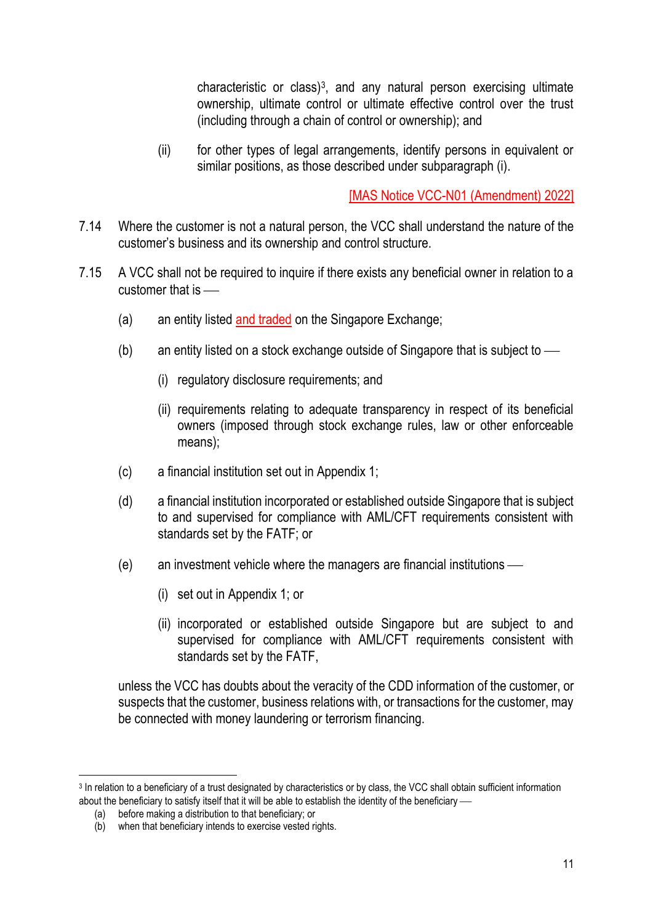characteristic or class)<sup>3</sup> , and any natural person exercising ultimate ownership, ultimate control or ultimate effective control over the trust (including through a chain of control or ownership); and

(ii) for other types of legal arrangements, identify persons in equivalent or similar positions, as those described under subparagraph (i).

[MAS Notice VCC-N01 (Amendment) 2022]

- 7.14 Where the customer is not a natural person, the VCC shall understand the nature of the customer's business and its ownership and control structure.
- 7.15 A VCC shall not be required to inquire if there exists any beneficial owner in relation to a customer that is  $\equiv$ 
	- (a) an entity listed and traded on the Singapore Exchange:
	- (b) an entity listed on a stock exchange outside of Singapore that is subject to  $\frac{1}{10}$ 
		- (i) regulatory disclosure requirements; and
		- (ii) requirements relating to adequate transparency in respect of its beneficial owners (imposed through stock exchange rules, law or other enforceable means);
	- (c) a financial institution set out in Appendix 1;
	- (d) a financial institution incorporated or established outside Singapore that is subject to and supervised for compliance with AML/CFT requirements consistent with standards set by the FATF; or
	- $(e)$  an investment vehicle where the managers are financial institutions
		- (i) set out in Appendix 1; or
		- (ii) incorporated or established outside Singapore but are subject to and supervised for compliance with AML/CFT requirements consistent with standards set by the FATF,

unless the VCC has doubts about the veracity of the CDD information of the customer, or suspects that the customer, business relations with, or transactions for the customer, may be connected with money laundering or terrorism financing.

<sup>&</sup>lt;sup>3</sup> In relation to a beneficiary of a trust designated by characteristics or by class, the VCC shall obtain sufficient information about the beneficiary to satisfy itself that it will be able to establish the identity of the beneficiary —

<sup>(</sup>a) before making a distribution to that beneficiary; or

<sup>(</sup>b) when that beneficiary intends to exercise vested rights.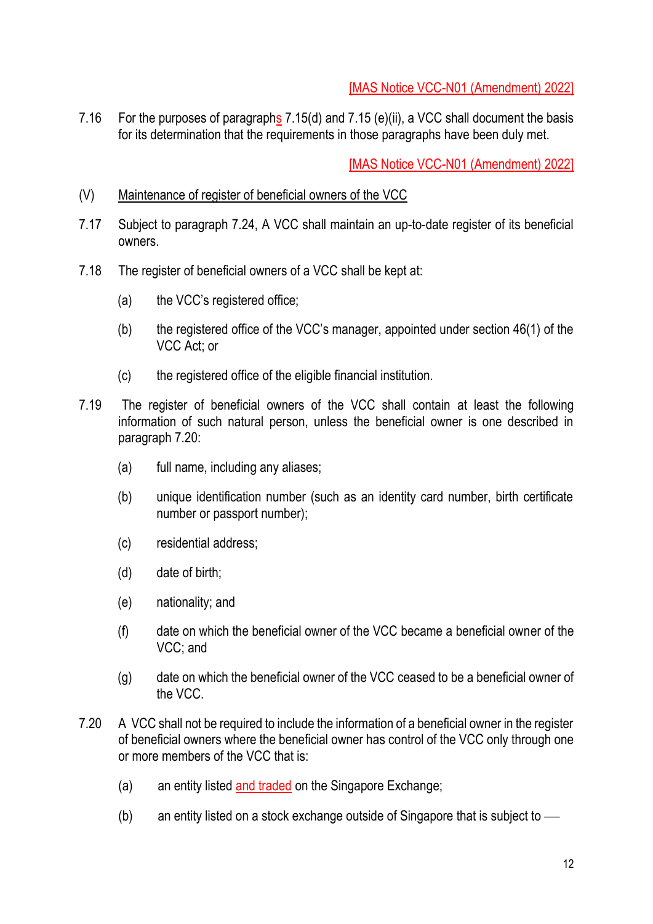7.16 For the purposes of paragraphs 7.15(d) and 7.15 (e)(ii), a VCC shall document the basis for its determination that the requirements in those paragraphs have been duly met.

- (V) Maintenance of register of beneficial owners of the VCC
- 7.17 Subject to paragraph 7.24, A VCC shall maintain an up-to-date register of its beneficial owners.
- 7.18 The register of beneficial owners of a VCC shall be kept at:
	- (a) the VCC's registered office;
	- (b) the registered office of the VCC's manager, appointed under section 46(1) of the VCC Act; or
	- (c) the registered office of the eligible financial institution.
- 7.19 The register of beneficial owners of the VCC shall contain at least the following information of such natural person, unless the beneficial owner is one described in paragraph 7.20:
	- (a) full name, including any aliases;
	- (b) unique identification number (such as an identity card number, birth certificate number or passport number);
	- (c) residential address;
	- (d) date of birth;
	- (e) nationality; and
	- (f) date on which the beneficial owner of the VCC became a beneficial owner of the VCC; and
	- (g) date on which the beneficial owner of the VCC ceased to be a beneficial owner of the VCC.
- 7.20 A VCC shall not be required to include the information of a beneficial owner in the register of beneficial owners where the beneficial owner has control of the VCC only through one or more members of the VCC that is:
	- (a) an entity listed and traded on the Singapore Exchange;
	- (b) an entity listed on a stock exchange outside of Singapore that is subject to  $\frac{1}{10}$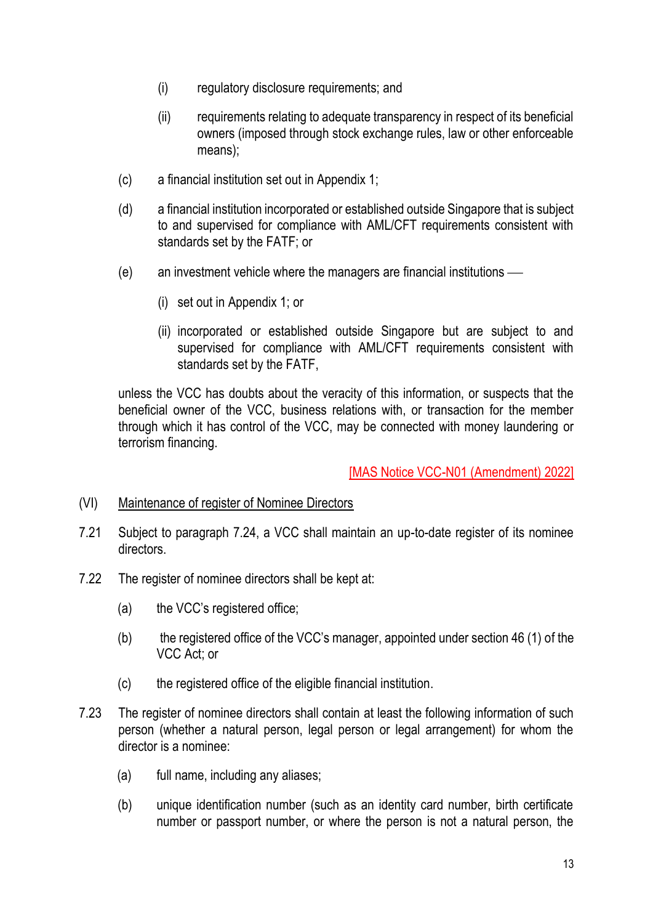- (i) regulatory disclosure requirements; and
- (ii) requirements relating to adequate transparency in respect of its beneficial owners (imposed through stock exchange rules, law or other enforceable means);
- (c) a financial institution set out in Appendix 1;
- (d) a financial institution incorporated or established outside Singapore that is subject to and supervised for compliance with AML/CFT requirements consistent with standards set by the FATF; or
- $(e)$  an investment vehicle where the managers are financial institutions  $-$ 
	- (i) set out in Appendix 1; or
	- (ii) incorporated or established outside Singapore but are subject to and supervised for compliance with AML/CFT requirements consistent with standards set by the FATF,

unless the VCC has doubts about the veracity of this information, or suspects that the beneficial owner of the VCC, business relations with, or transaction for the member through which it has control of the VCC, may be connected with money laundering or terrorism financing.

- (VI) Maintenance of register of Nominee Directors
- 7.21 Subject to paragraph 7.24, a VCC shall maintain an up-to-date register of its nominee directors.
- 7.22 The register of nominee directors shall be kept at:
	- (a) the VCC's registered office;
	- (b) the registered office of the VCC's manager, appointed under section 46 (1) of the VCC Act; or
	- (c) the registered office of the eligible financial institution.
- 7.23 The register of nominee directors shall contain at least the following information of such person (whether a natural person, legal person or legal arrangement) for whom the director is a nominee:
	- (a) full name, including any aliases;
	- (b) unique identification number (such as an identity card number, birth certificate number or passport number, or where the person is not a natural person, the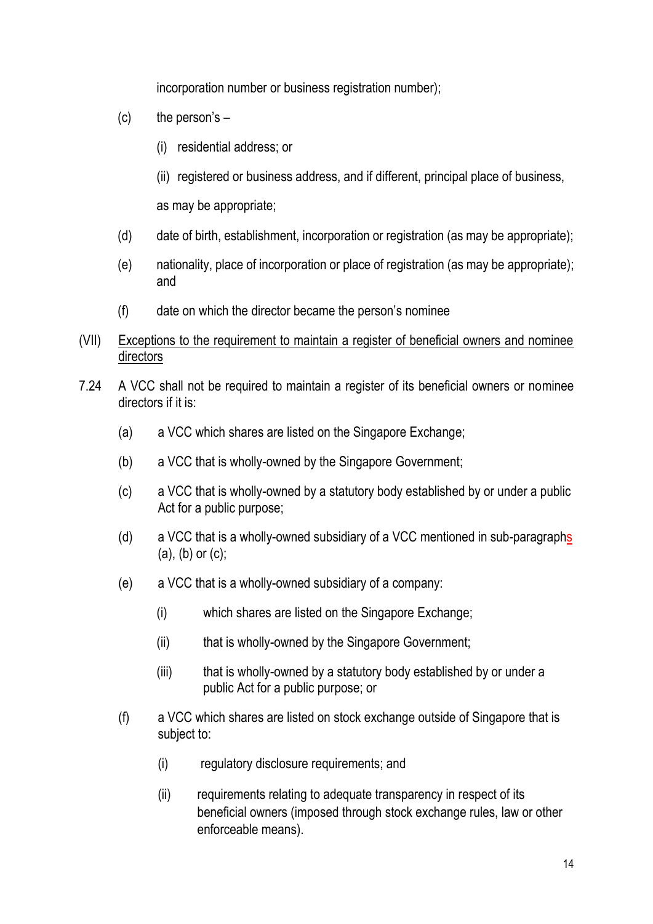incorporation number or business registration number);

- $(c)$  the person's  $-$ 
	- (i) residential address; or
	- (ii) registered or business address, and if different, principal place of business,

as may be appropriate;

- (d) date of birth, establishment, incorporation or registration (as may be appropriate);
- (e) nationality, place of incorporation or place of registration (as may be appropriate); and
- (f) date on which the director became the person's nominee
- (VII) Exceptions to the requirement to maintain a register of beneficial owners and nominee directors
- 7.24 A VCC shall not be required to maintain a register of its beneficial owners or nominee directors if it is:
	- (a) a VCC which shares are listed on the Singapore Exchange;
	- (b) a VCC that is wholly-owned by the Singapore Government;
	- (c) a VCC that is wholly-owned by a statutory body established by or under a public Act for a public purpose;
	- (d) a VCC that is a wholly-owned subsidiary of a VCC mentioned in sub-paragraphs  $(a)$ ,  $(b)$  or  $(c)$ ;
	- (e) a VCC that is a wholly-owned subsidiary of a company:
		- (i) which shares are listed on the Singapore Exchange;
		- (ii) that is wholly-owned by the Singapore Government:
		- (iii) that is wholly-owned by a statutory body established by or under a public Act for a public purpose; or
	- (f) a VCC which shares are listed on stock exchange outside of Singapore that is subject to:
		- (i) regulatory disclosure requirements; and
		- (ii) requirements relating to adequate transparency in respect of its beneficial owners (imposed through stock exchange rules, law or other enforceable means).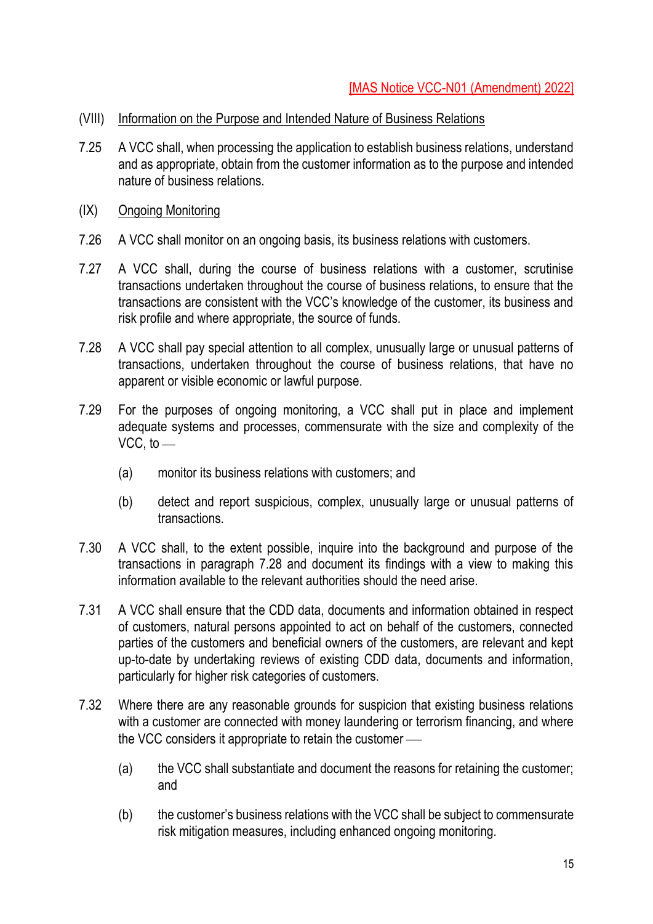- (VIII) Information on the Purpose and Intended Nature of Business Relations
- 7.25 A VCC shall, when processing the application to establish business relations, understand and as appropriate, obtain from the customer information as to the purpose and intended nature of business relations.
- (IX) Ongoing Monitoring
- 7.26 A VCC shall monitor on an ongoing basis, its business relations with customers.
- 7.27 A VCC shall, during the course of business relations with a customer, scrutinise transactions undertaken throughout the course of business relations, to ensure that the transactions are consistent with the VCC's knowledge of the customer, its business and risk profile and where appropriate, the source of funds.
- 7.28 A VCC shall pay special attention to all complex, unusually large or unusual patterns of transactions, undertaken throughout the course of business relations, that have no apparent or visible economic or lawful purpose.
- 7.29 For the purposes of ongoing monitoring, a VCC shall put in place and implement adequate systems and processes, commensurate with the size and complexity of the VCC, to  $-$ 
	- (a) monitor its business relations with customers; and
	- (b) detect and report suspicious, complex, unusually large or unusual patterns of transactions.
- 7.30 A VCC shall, to the extent possible, inquire into the background and purpose of the transactions in paragraph 7.28 and document its findings with a view to making this information available to the relevant authorities should the need arise.
- 7.31 A VCC shall ensure that the CDD data, documents and information obtained in respect of customers, natural persons appointed to act on behalf of the customers, connected parties of the customers and beneficial owners of the customers, are relevant and kept up-to-date by undertaking reviews of existing CDD data, documents and information, particularly for higher risk categories of customers.
- 7.32 Where there are any reasonable grounds for suspicion that existing business relations with a customer are connected with money laundering or terrorism financing, and where the VCC considers it appropriate to retain the customer  $-$ 
	- (a) the VCC shall substantiate and document the reasons for retaining the customer; and
	- (b) the customer's business relations with the VCC shall be subject to commensurate risk mitigation measures, including enhanced ongoing monitoring.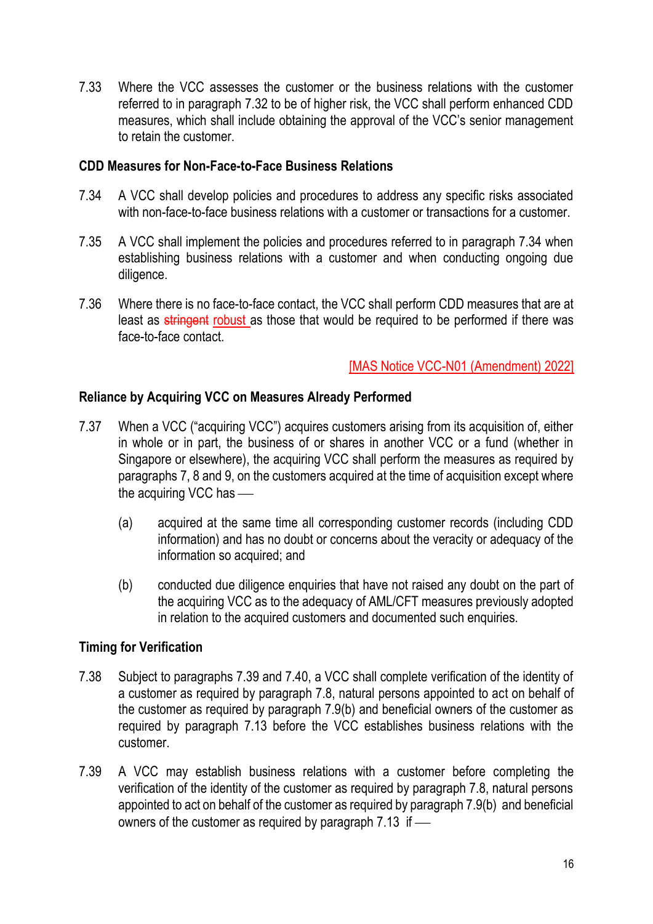7.33 Where the VCC assesses the customer or the business relations with the customer referred to in paragraph 7.32 to be of higher risk, the VCC shall perform enhanced CDD measures, which shall include obtaining the approval of the VCC's senior management to retain the customer.

#### **CDD Measures for Non-Face-to-Face Business Relations**

- 7.34 A VCC shall develop policies and procedures to address any specific risks associated with non-face-to-face business relations with a customer or transactions for a customer.
- 7.35 A VCC shall implement the policies and procedures referred to in paragraph 7.34 when establishing business relations with a customer and when conducting ongoing due diligence.
- 7.36 Where there is no face-to-face contact, the VCC shall perform CDD measures that are at least as stringent robust as those that would be required to be performed if there was face-to-face contact.

[MAS Notice VCC-N01 (Amendment) 2022]

#### **Reliance by Acquiring VCC on Measures Already Performed**

- 7.37 When a VCC ("acquiring VCC") acquires customers arising from its acquisition of, either in whole or in part, the business of or shares in another VCC or a fund (whether in Singapore or elsewhere), the acquiring VCC shall perform the measures as required by paragraphs 7, 8 and 9, on the customers acquired at the time of acquisition except where the acquiring VCC has  $-$ 
	- (a) acquired at the same time all corresponding customer records (including CDD information) and has no doubt or concerns about the veracity or adequacy of the information so acquired; and
	- (b) conducted due diligence enquiries that have not raised any doubt on the part of the acquiring VCC as to the adequacy of AML/CFT measures previously adopted in relation to the acquired customers and documented such enquiries.

## **Timing for Verification**

- 7.38 Subject to paragraphs 7.39 and 7.40, a VCC shall complete verification of the identity of a customer as required by paragraph 7.8, natural persons appointed to act on behalf of the customer as required by paragraph 7.9(b) and beneficial owners of the customer as required by paragraph 7.13 before the VCC establishes business relations with the customer.
- 7.39 A VCC may establish business relations with a customer before completing the verification of the identity of the customer as required by paragraph 7.8, natural persons appointed to act on behalf of the customer as required by paragraph 7.9(b) and beneficial owners of the customer as required by paragraph  $7.13$  if  $-$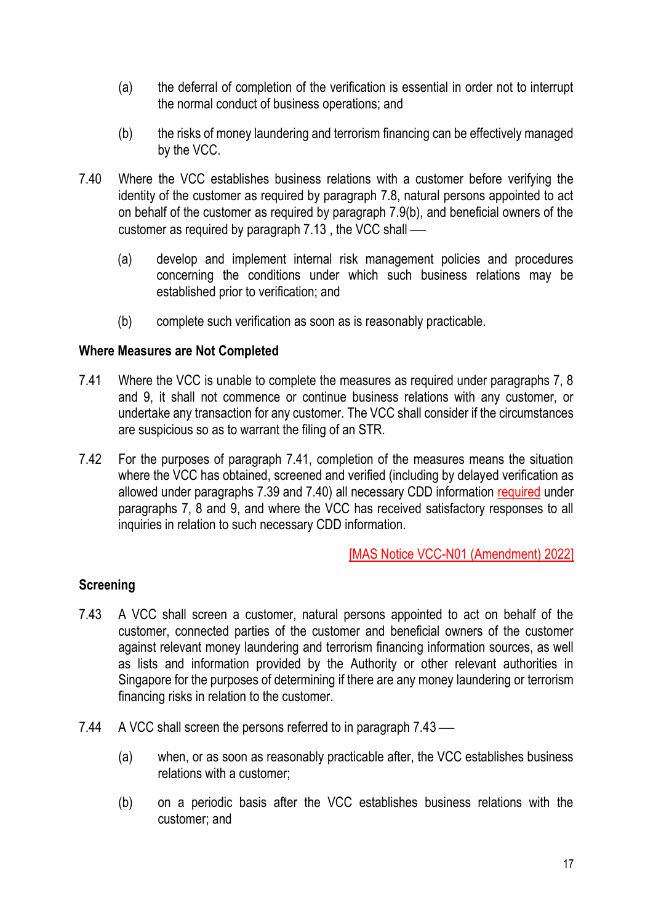- (a) the deferral of completion of the verification is essential in order not to interrupt the normal conduct of business operations; and
- (b) the risks of money laundering and terrorism financing can be effectively managed by the VCC.
- 7.40 Where the VCC establishes business relations with a customer before verifying the identity of the customer as required by paragraph 7.8, natural persons appointed to act on behalf of the customer as required by paragraph 7.9(b), and beneficial owners of the customer as required by paragraph  $7.13$ , the VCC shall  $-$ 
	- (a) develop and implement internal risk management policies and procedures concerning the conditions under which such business relations may be established prior to verification; and
	- (b) complete such verification as soon as is reasonably practicable.

#### **Where Measures are Not Completed**

- 7.41 Where the VCC is unable to complete the measures as required under paragraphs 7, 8 and 9, it shall not commence or continue business relations with any customer, or undertake any transaction for any customer. The VCC shall consider if the circumstances are suspicious so as to warrant the filing of an STR.
- 7.42 For the purposes of paragraph 7.41, completion of the measures means the situation where the VCC has obtained, screened and verified (including by delayed verification as allowed under paragraphs 7.39 and 7.40) all necessary CDD information required under paragraphs 7, 8 and 9, and where the VCC has received satisfactory responses to all inquiries in relation to such necessary CDD information.

[MAS Notice VCC-N01 (Amendment) 2022]

## **Screening**

- 7.43 A VCC shall screen a customer, natural persons appointed to act on behalf of the customer, connected parties of the customer and beneficial owners of the customer against relevant money laundering and terrorism financing information sources, as well as lists and information provided by the Authority or other relevant authorities in Singapore for the purposes of determining if there are any money laundering or terrorism financing risks in relation to the customer.
- 7.44 A VCC shall screen the persons referred to in paragraph  $7.43$ 
	- (a) when, or as soon as reasonably practicable after, the VCC establishes business relations with a customer;
	- (b) on a periodic basis after the VCC establishes business relations with the customer; and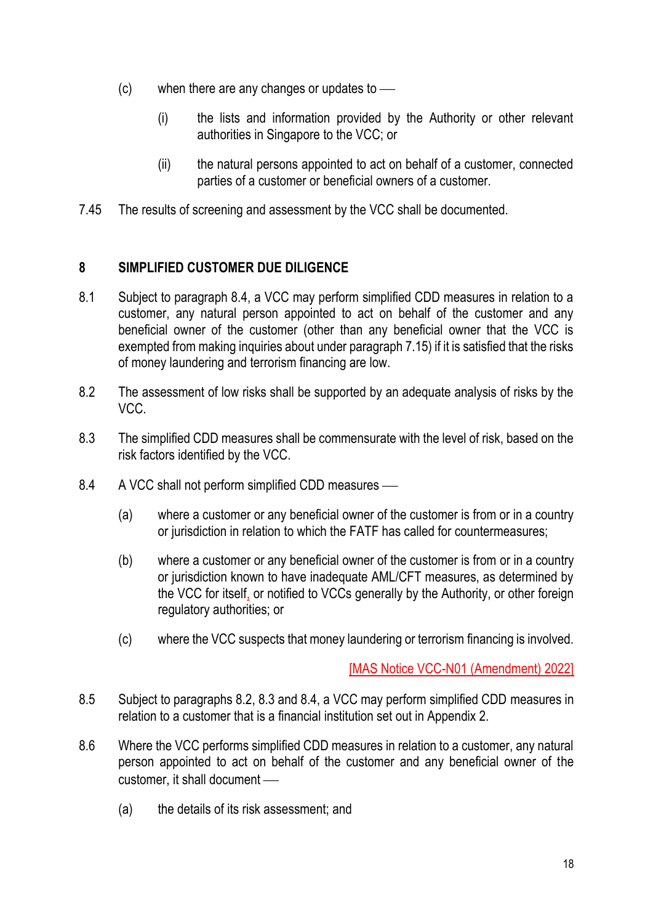- $(c)$  when there are any changes or updates to  $\sim$ 
	- (i) the lists and information provided by the Authority or other relevant authorities in Singapore to the VCC; or
	- (ii) the natural persons appointed to act on behalf of a customer, connected parties of a customer or beneficial owners of a customer.
- 7.45 The results of screening and assessment by the VCC shall be documented.

## **8 SIMPLIFIED CUSTOMER DUE DILIGENCE**

- 8.1 Subject to paragraph 8.4, a VCC may perform simplified CDD measures in relation to a customer, any natural person appointed to act on behalf of the customer and any beneficial owner of the customer (other than any beneficial owner that the VCC is exempted from making inquiries about under paragraph 7.15) if it is satisfied that the risks of money laundering and terrorism financing are low.
- 8.2 The assessment of low risks shall be supported by an adequate analysis of risks by the VCC.
- 8.3 The simplified CDD measures shall be commensurate with the level of risk, based on the risk factors identified by the VCC.
- 8.4 A VCC shall not perform simplified CDD measures
	- (a) where a customer or any beneficial owner of the customer is from or in a country or jurisdiction in relation to which the FATF has called for countermeasures;
	- (b) where a customer or any beneficial owner of the customer is from or in a country or jurisdiction known to have inadequate AML/CFT measures, as determined by the VCC for itself, or notified to VCCs generally by the Authority, or other foreign regulatory authorities; or
	- (c) where the VCC suspects that money laundering or terrorism financing is involved.

- 8.5 Subject to paragraphs 8.2, 8.3 and 8.4, a VCC may perform simplified CDD measures in relation to a customer that is a financial institution set out in Appendix 2.
- 8.6 Where the VCC performs simplified CDD measures in relation to a customer, any natural person appointed to act on behalf of the customer and any beneficial owner of the customer, it shall document —
	- (a) the details of its risk assessment; and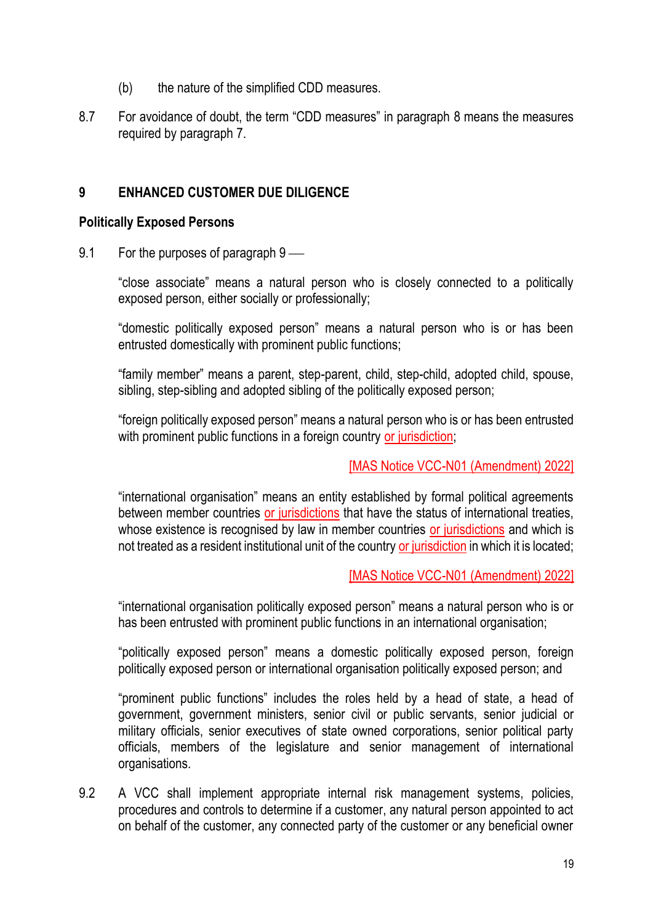- (b) the nature of the simplified CDD measures.
- 8.7 For avoidance of doubt, the term "CDD measures" in paragraph 8 means the measures required by paragraph 7.

#### **9 ENHANCED CUSTOMER DUE DILIGENCE**

#### **Politically Exposed Persons**

9.1 For the purposes of paragraph  $9$  —

"close associate" means a natural person who is closely connected to a politically exposed person, either socially or professionally;

"domestic politically exposed person" means a natural person who is or has been entrusted domestically with prominent public functions;

"family member" means a parent, step-parent, child, step-child, adopted child, spouse, sibling, step-sibling and adopted sibling of the politically exposed person;

"foreign politically exposed person" means a natural person who is or has been entrusted with prominent public functions in a foreign country or jurisdiction;

#### [MAS Notice VCC-N01 (Amendment) 2022]

"international organisation" means an entity established by formal political agreements between member countries or jurisdictions that have the status of international treaties, whose existence is recognised by law in member countries or jurisdictions and which is not treated as a resident institutional unit of the country or jurisdiction in which it is located;

#### [MAS Notice VCC-N01 (Amendment) 2022]

"international organisation politically exposed person" means a natural person who is or has been entrusted with prominent public functions in an international organisation;

"politically exposed person" means a domestic politically exposed person, foreign politically exposed person or international organisation politically exposed person; and

"prominent public functions" includes the roles held by a head of state, a head of government, government ministers, senior civil or public servants, senior judicial or military officials, senior executives of state owned corporations, senior political party officials, members of the legislature and senior management of international organisations.

9.2 A VCC shall implement appropriate internal risk management systems, policies, procedures and controls to determine if a customer, any natural person appointed to act on behalf of the customer, any connected party of the customer or any beneficial owner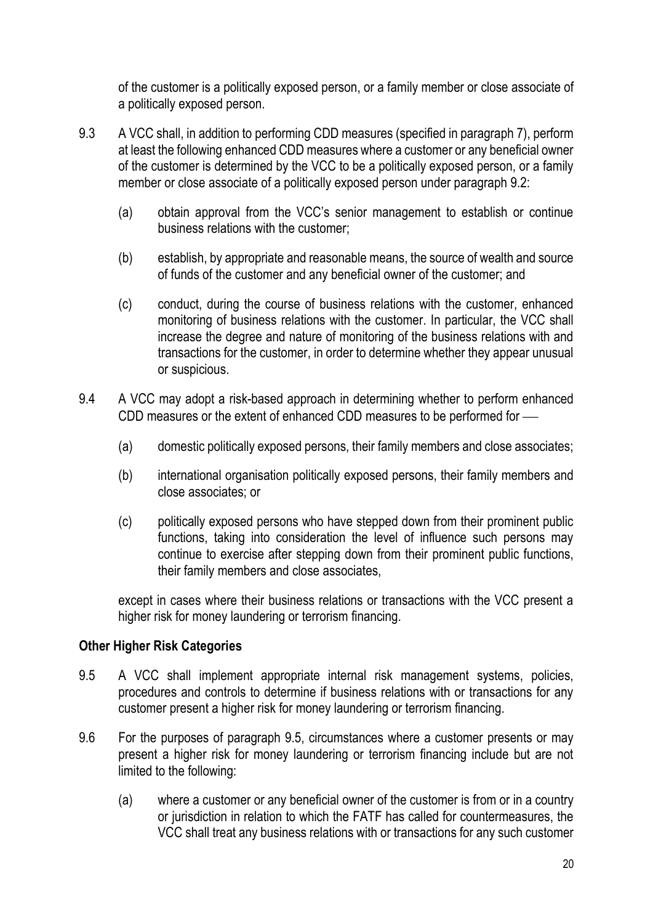of the customer is a politically exposed person, or a family member or close associate of a politically exposed person.

- 9.3 A VCC shall, in addition to performing CDD measures (specified in paragraph 7), perform at least the following enhanced CDD measures where a customer or any beneficial owner of the customer is determined by the VCC to be a politically exposed person, or a family member or close associate of a politically exposed person under paragraph 9.2:
	- (a) obtain approval from the VCC's senior management to establish or continue business relations with the customer;
	- (b) establish, by appropriate and reasonable means, the source of wealth and source of funds of the customer and any beneficial owner of the customer; and
	- (c) conduct, during the course of business relations with the customer, enhanced monitoring of business relations with the customer. In particular, the VCC shall increase the degree and nature of monitoring of the business relations with and transactions for the customer, in order to determine whether they appear unusual or suspicious.
- 9.4 A VCC may adopt a risk-based approach in determining whether to perform enhanced CDD measures or the extent of enhanced CDD measures to be performed for -
	- (a) domestic politically exposed persons, their family members and close associates;
	- (b) international organisation politically exposed persons, their family members and close associates; or
	- (c) politically exposed persons who have stepped down from their prominent public functions, taking into consideration the level of influence such persons may continue to exercise after stepping down from their prominent public functions, their family members and close associates,

except in cases where their business relations or transactions with the VCC present a higher risk for money laundering or terrorism financing.

#### **Other Higher Risk Categories**

- 9.5 A VCC shall implement appropriate internal risk management systems, policies, procedures and controls to determine if business relations with or transactions for any customer present a higher risk for money laundering or terrorism financing.
- 9.6 For the purposes of paragraph 9.5, circumstances where a customer presents or may present a higher risk for money laundering or terrorism financing include but are not limited to the following:
	- (a) where a customer or any beneficial owner of the customer is from or in a country or jurisdiction in relation to which the FATF has called for countermeasures, the VCC shall treat any business relations with or transactions for any such customer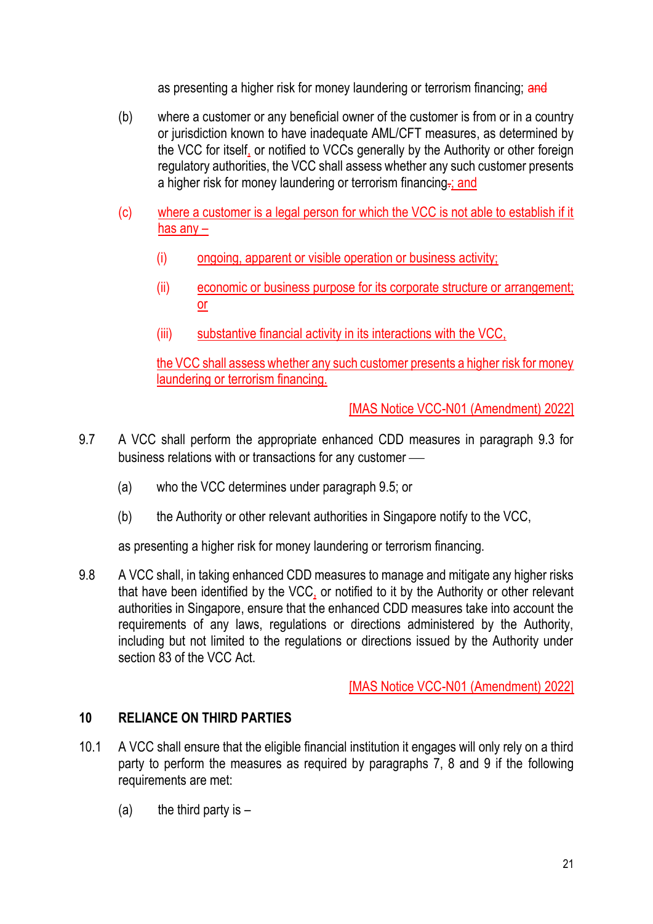as presenting a higher risk for money laundering or terrorism financing; and

- (b) where a customer or any beneficial owner of the customer is from or in a country or jurisdiction known to have inadequate AML/CFT measures, as determined by the VCC for itself, or notified to VCCs generally by the Authority or other foreign regulatory authorities, the VCC shall assess whether any such customer presents a higher risk for money laundering or terrorism financing.; and
- (c) where a customer is a legal person for which the VCC is not able to establish if it has any –
	- (i) ongoing, apparent or visible operation or business activity;
	- (ii) economic or business purpose for its corporate structure or arrangement; or
	- (iii) substantive financial activity in its interactions with the VCC,

the VCC shall assess whether any such customer presents a higher risk for money laundering or terrorism financing.

[MAS Notice VCC-N01 (Amendment) 2022]

- 9.7 A VCC shall perform the appropriate enhanced CDD measures in paragraph 9.3 for business relations with or transactions for any customer —
	- (a) who the VCC determines under paragraph 9.5; or
	- (b) the Authority or other relevant authorities in Singapore notify to the VCC,

as presenting a higher risk for money laundering or terrorism financing.

9.8 A VCC shall, in taking enhanced CDD measures to manage and mitigate any higher risks that have been identified by the VCC, or notified to it by the Authority or other relevant authorities in Singapore, ensure that the enhanced CDD measures take into account the requirements of any laws, regulations or directions administered by the Authority, including but not limited to the regulations or directions issued by the Authority under section 83 of the VCC Act.

[MAS Notice VCC-N01 (Amendment) 2022]

## **10 RELIANCE ON THIRD PARTIES**

- 10.1 A VCC shall ensure that the eligible financial institution it engages will only rely on a third party to perform the measures as required by paragraphs 7, 8 and 9 if the following requirements are met:
	- (a) the third party is  $-$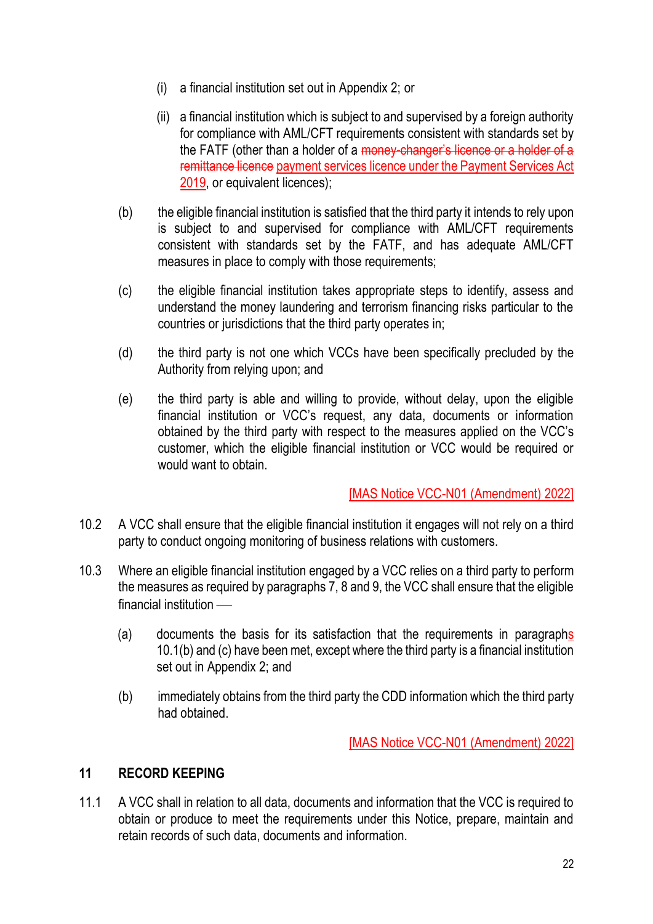- (i) a financial institution set out in Appendix 2; or
- (ii) a financial institution which is subject to and supervised by a foreign authority for compliance with AML/CFT requirements consistent with standards set by the FATF (other than a holder of a money-changer's licence or a holder of a remittance licence payment services licence under the Payment Services Act 2019, or equivalent licences);
- (b) the eligible financial institution is satisfied that the third party it intends to rely upon is subject to and supervised for compliance with AML/CFT requirements consistent with standards set by the FATF, and has adequate AML/CFT measures in place to comply with those requirements;
- (c) the eligible financial institution takes appropriate steps to identify, assess and understand the money laundering and terrorism financing risks particular to the countries or jurisdictions that the third party operates in;
- (d) the third party is not one which VCCs have been specifically precluded by the Authority from relying upon; and
- (e) the third party is able and willing to provide, without delay, upon the eligible financial institution or VCC's request, any data, documents or information obtained by the third party with respect to the measures applied on the VCC's customer, which the eligible financial institution or VCC would be required or would want to obtain.

- 10.2 A VCC shall ensure that the eligible financial institution it engages will not rely on a third party to conduct ongoing monitoring of business relations with customers.
- 10.3 Where an eligible financial institution engaged by a VCC relies on a third party to perform the measures as required by paragraphs 7, 8 and 9, the VCC shall ensure that the eligible  $f$ inancial institution  $\equiv$ 
	- (a) documents the basis for its satisfaction that the requirements in paragraphs 10.1(b) and (c) have been met, except where the third party is a financial institution set out in Appendix 2; and
	- (b) immediately obtains from the third party the CDD information which the third party had obtained.

[MAS Notice VCC-N01 (Amendment) 2022]

## **11 RECORD KEEPING**

11.1 A VCC shall in relation to all data, documents and information that the VCC is required to obtain or produce to meet the requirements under this Notice, prepare, maintain and retain records of such data, documents and information.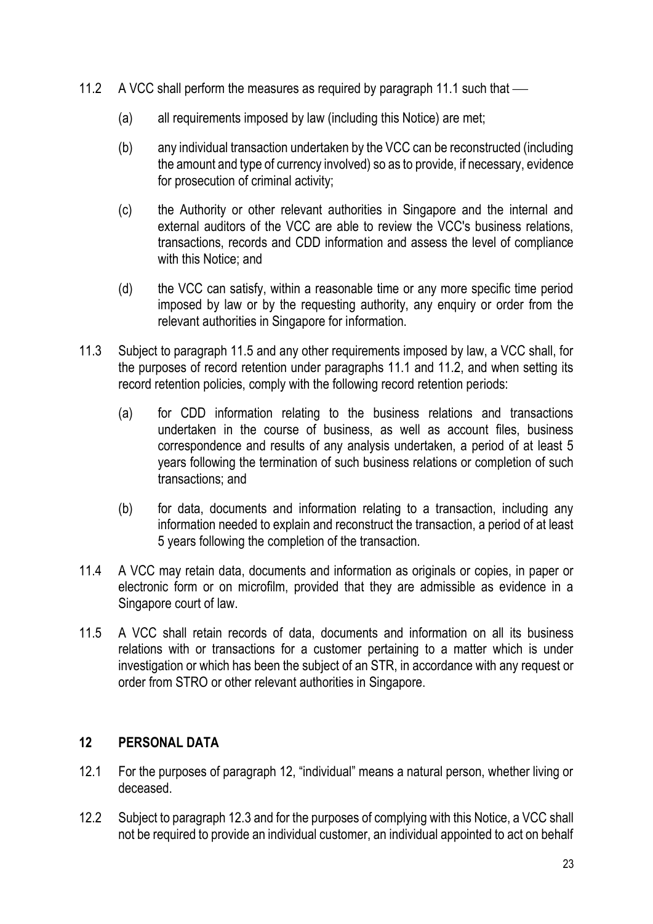- 11.2 A VCC shall perform the measures as required by paragraph 11.1 such that
	- (a) all requirements imposed by law (including this Notice) are met;
	- (b) any individual transaction undertaken by the VCC can be reconstructed (including the amount and type of currency involved) so as to provide, if necessary, evidence for prosecution of criminal activity;
	- (c) the Authority or other relevant authorities in Singapore and the internal and external auditors of the VCC are able to review the VCC's business relations, transactions, records and CDD information and assess the level of compliance with this Notice: and
	- (d) the VCC can satisfy, within a reasonable time or any more specific time period imposed by law or by the requesting authority, any enquiry or order from the relevant authorities in Singapore for information.
- 11.3 Subject to paragraph 11.5 and any other requirements imposed by law, a VCC shall, for the purposes of record retention under paragraphs 11.1 and 11.2, and when setting its record retention policies, comply with the following record retention periods:
	- (a) for CDD information relating to the business relations and transactions undertaken in the course of business, as well as account files, business correspondence and results of any analysis undertaken, a period of at least 5 years following the termination of such business relations or completion of such transactions; and
	- (b) for data, documents and information relating to a transaction, including any information needed to explain and reconstruct the transaction, a period of at least 5 years following the completion of the transaction.
- 11.4 A VCC may retain data, documents and information as originals or copies, in paper or electronic form or on microfilm, provided that they are admissible as evidence in a Singapore court of law.
- 11.5 A VCC shall retain records of data, documents and information on all its business relations with or transactions for a customer pertaining to a matter which is under investigation or which has been the subject of an STR, in accordance with any request or order from STRO or other relevant authorities in Singapore.

## **12 PERSONAL DATA**

- 12.1 For the purposes of paragraph 12, "individual" means a natural person, whether living or deceased.
- 12.2 Subject to paragraph 12.3 and for the purposes of complying with this Notice, a VCC shall not be required to provide an individual customer, an individual appointed to act on behalf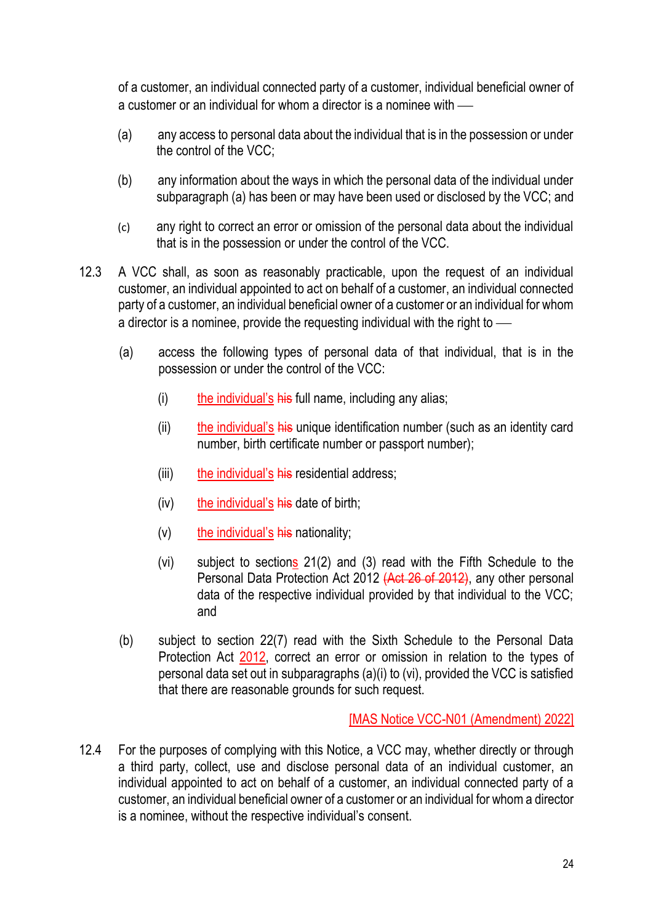of a customer, an individual connected party of a customer, individual beneficial owner of a customer or an individual for whom a director is a nominee with  $\frac{1}{1}$ 

- (a) any access to personal data about the individual that is in the possession or under the control of the VCC;
- (b) any information about the ways in which the personal data of the individual under subparagraph (a) has been or may have been used or disclosed by the VCC; and
- (c) any right to correct an error or omission of the personal data about the individual that is in the possession or under the control of the VCC.
- 12.3 A VCC shall, as soon as reasonably practicable, upon the request of an individual customer, an individual appointed to act on behalf of a customer, an individual connected party of a customer, an individual beneficial owner of a customer or an individual for whom a director is a nominee, provide the requesting individual with the right to  $\frac{1}{10}$ 
	- (a) access the following types of personal data of that individual, that is in the possession or under the control of the VCC:
		- (i) the individual's  $\frac{h}{h}$  full name, including any alias;
		- $(i)$  the individual's his unique identification number (such as an identity card number, birth certificate number or passport number);
		- (iii) the individual's his residential address;
		- $(iv)$  the individual's his date of birth;
		- $(v)$  the individual's his nationality;
		- (vi) subject to sections 21(2) and (3) read with the Fifth Schedule to the Personal Data Protection Act 2012 (Act 26 of 2012), any other personal data of the respective individual provided by that individual to the VCC; and
	- (b) subject to section 22(7) read with the Sixth Schedule to the Personal Data Protection Act 2012, correct an error or omission in relation to the types of personal data set out in subparagraphs (a)(i) to (vi), provided the VCC is satisfied that there are reasonable grounds for such request.

[MAS Notice VCC-N01 (Amendment) 2022]

12.4 For the purposes of complying with this Notice, a VCC may, whether directly or through a third party, collect, use and disclose personal data of an individual customer, an individual appointed to act on behalf of a customer, an individual connected party of a customer, an individual beneficial owner of a customer or an individual for whom a director is a nominee, without the respective individual's consent.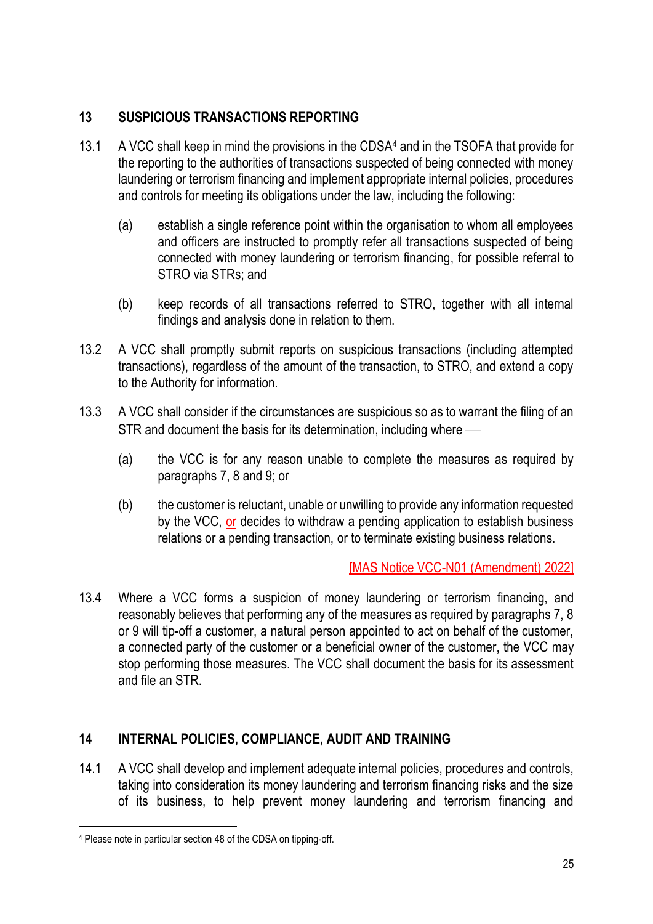## **13 SUSPICIOUS TRANSACTIONS REPORTING**

- 13.1 A VCC shall keep in mind the provisions in the CDSA4 and in the TSOFA that provide for the reporting to the authorities of transactions suspected of being connected with money laundering or terrorism financing and implement appropriate internal policies, procedures and controls for meeting its obligations under the law, including the following:
	- (a) establish a single reference point within the organisation to whom all employees and officers are instructed to promptly refer all transactions suspected of being connected with money laundering or terrorism financing, for possible referral to STRO via STRs; and
	- (b) keep records of all transactions referred to STRO, together with all internal findings and analysis done in relation to them.
- 13.2 A VCC shall promptly submit reports on suspicious transactions (including attempted transactions), regardless of the amount of the transaction, to STRO, and extend a copy to the Authority for information.
- 13.3 A VCC shall consider if the circumstances are suspicious so as to warrant the filing of an STR and document the basis for its determination, including where —
	- (a) the VCC is for any reason unable to complete the measures as required by paragraphs 7, 8 and 9; or
	- (b) the customer is reluctant, unable or unwilling to provide any information requested by the VCC, or decides to withdraw a pending application to establish business relations or a pending transaction, or to terminate existing business relations.

## [MAS Notice VCC-N01 (Amendment) 2022]

13.4 Where a VCC forms a suspicion of money laundering or terrorism financing, and reasonably believes that performing any of the measures as required by paragraphs 7, 8 or 9 will tip-off a customer, a natural person appointed to act on behalf of the customer, a connected party of the customer or a beneficial owner of the customer, the VCC may stop performing those measures. The VCC shall document the basis for its assessment and file an STR.

## **14 INTERNAL POLICIES, COMPLIANCE, AUDIT AND TRAINING**

14.1 A VCC shall develop and implement adequate internal policies, procedures and controls, taking into consideration its money laundering and terrorism financing risks and the size of its business, to help prevent money laundering and terrorism financing and

<sup>4</sup> Please note in particular section 48 of the CDSA on tipping-off.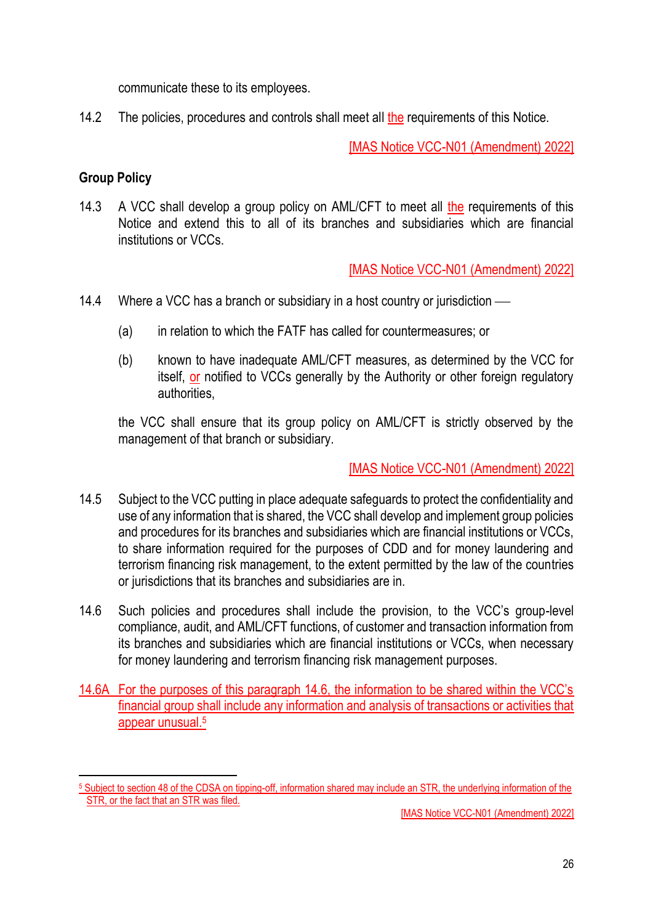communicate these to its employees.

14.2 The policies, procedures and controls shall meet all the requirements of this Notice.

[MAS Notice VCC-N01 (Amendment) 2022]

# **Group Policy**

14.3 A VCC shall develop a group policy on AML/CFT to meet all the requirements of this Notice and extend this to all of its branches and subsidiaries which are financial institutions or VCCs.

[MAS Notice VCC-N01 (Amendment) 2022]

- 14.4 Where a VCC has a branch or subsidiary in a host country or jurisdiction
	- (a) in relation to which the FATF has called for countermeasures; or
	- (b) known to have inadequate AML/CFT measures, as determined by the VCC for itself, or notified to VCCs generally by the Authority or other foreign regulatory authorities,

the VCC shall ensure that its group policy on AML/CFT is strictly observed by the management of that branch or subsidiary.

- 14.5 Subject to the VCC putting in place adequate safeguards to protect the confidentiality and use of any information that is shared, the VCC shall develop and implement group policies and procedures for its branches and subsidiaries which are financial institutions or VCCs, to share information required for the purposes of CDD and for money laundering and terrorism financing risk management, to the extent permitted by the law of the countries or jurisdictions that its branches and subsidiaries are in.
- 14.6 Such policies and procedures shall include the provision, to the VCC's group-level compliance, audit, and AML/CFT functions, of customer and transaction information from its branches and subsidiaries which are financial institutions or VCCs, when necessary for money laundering and terrorism financing risk management purposes.
- 14.6A For the purposes of this paragraph 14.6, the information to be shared within the VCC's financial group shall include any information and analysis of transactions or activities that appear unusual.<sup>5</sup>

<sup>5</sup> Subject to section 48 of the CDSA on tipping-off, information shared may include an STR, the underlying information of the STR, or the fact that an STR was filed.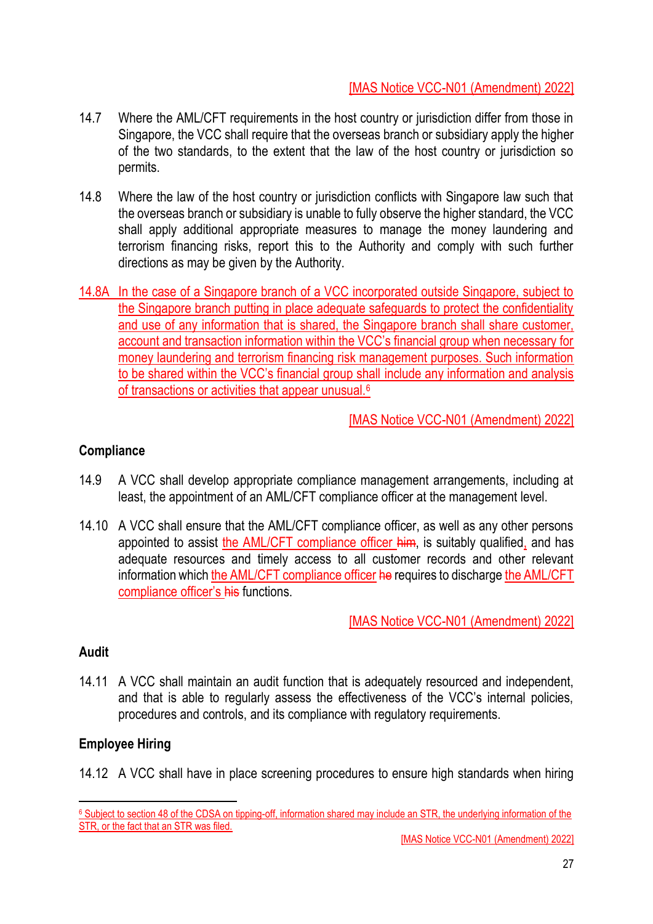- 14.7 Where the AML/CFT requirements in the host country or jurisdiction differ from those in Singapore, the VCC shall require that the overseas branch or subsidiary apply the higher of the two standards, to the extent that the law of the host country or jurisdiction so permits.
- 14.8 Where the law of the host country or jurisdiction conflicts with Singapore law such that the overseas branch or subsidiary is unable to fully observe the higher standard, the VCC shall apply additional appropriate measures to manage the money laundering and terrorism financing risks, report this to the Authority and comply with such further directions as may be given by the Authority.
- 14.8A In the case of a Singapore branch of a VCC incorporated outside Singapore, subject to the Singapore branch putting in place adequate safeguards to protect the confidentiality and use of any information that is shared, the Singapore branch shall share customer, account and transaction information within the VCC's financial group when necessary for money laundering and terrorism financing risk management purposes. Such information to be shared within the VCC's financial group shall include any information and analysis of transactions or activities that appear unusual.<sup>6</sup>

[MAS Notice VCC-N01 (Amendment) 2022]

## **Compliance**

- 14.9 A VCC shall develop appropriate compliance management arrangements, including at least, the appointment of an AML/CFT compliance officer at the management level.
- 14.10 A VCC shall ensure that the AML/CFT compliance officer, as well as any other persons appointed to assist the AML/CFT compliance officer him, is suitably qualified, and has adequate resources and timely access to all customer records and other relevant information which the AML/CFT compliance officer he requires to discharge the AML/CFT compliance officer's his functions.

[MAS Notice VCC-N01 (Amendment) 2022]

## **Audit**

14.11 A VCC shall maintain an audit function that is adequately resourced and independent, and that is able to regularly assess the effectiveness of the VCC's internal policies, procedures and controls, and its compliance with regulatory requirements.

## **Employee Hiring**

14.12 A VCC shall have in place screening procedures to ensure high standards when hiring

<sup>6</sup> Subject to section 48 of the CDSA on tipping-off, information shared may include an STR, the underlying information of the STR, or the fact that an STR was filed.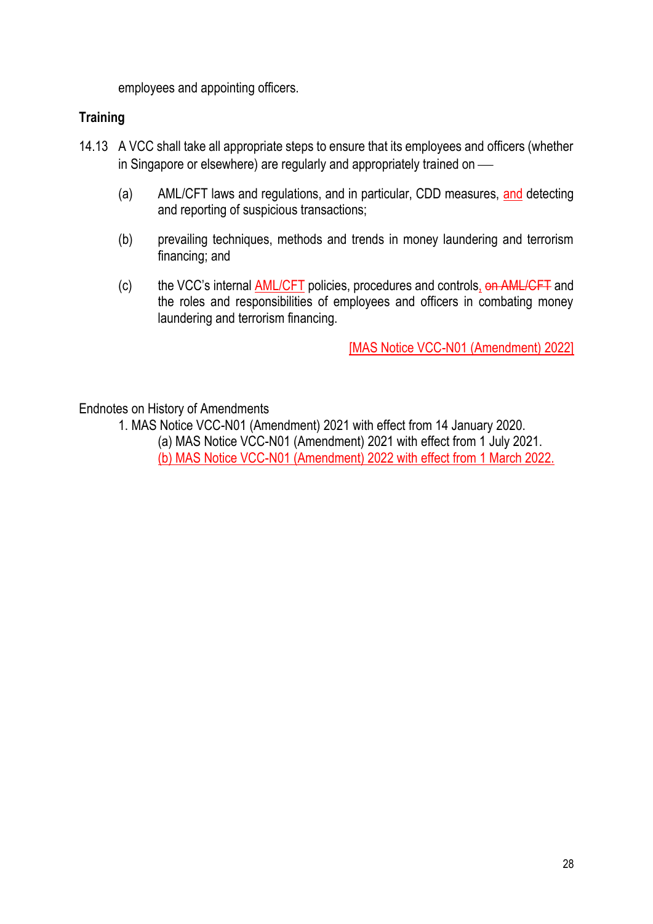employees and appointing officers.

#### **Training**

- 14.13 A VCC shall take all appropriate steps to ensure that its employees and officers (whether in Singapore or elsewhere) are regularly and appropriately trained on —
	- (a) AML/CFT laws and regulations, and in particular, CDD measures, and detecting and reporting of suspicious transactions;
	- (b) prevailing techniques, methods and trends in money laundering and terrorism financing; and
	- (c) the VCC's internal AML/CFT policies, procedures and controls, on AML/CFT and the roles and responsibilities of employees and officers in combating money laundering and terrorism financing.

[MAS Notice VCC-N01 (Amendment) 2022]

Endnotes on History of Amendments

1. MAS Notice VCC-N01 (Amendment) 2021 with effect from 14 January 2020.

(a) MAS Notice VCC-N01 (Amendment) 2021 with effect from 1 July 2021.

(b) MAS Notice VCC-N01 (Amendment) 2022 with effect from 1 March 2022.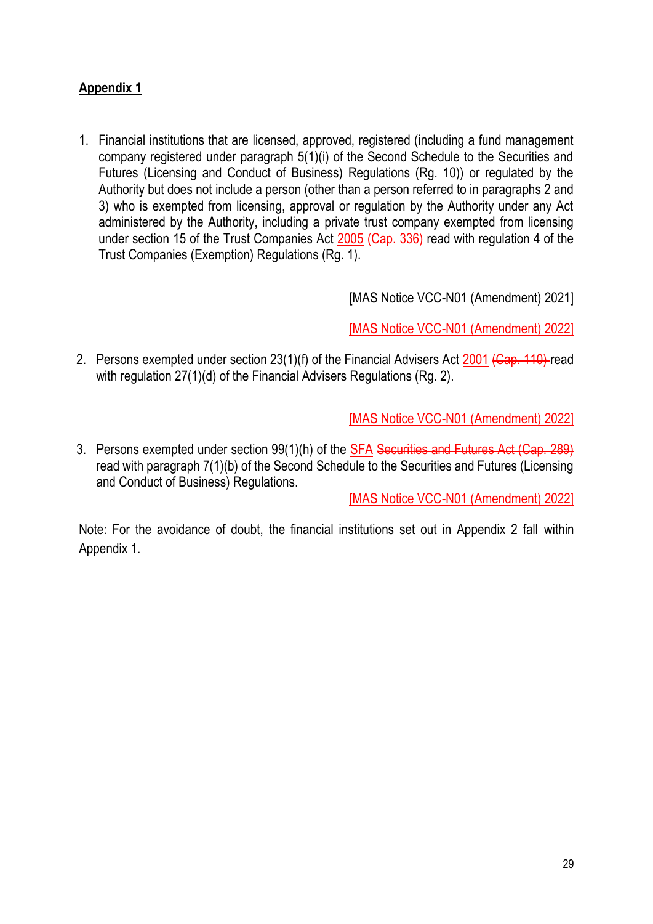# **Appendix 1**

1. Financial institutions that are licensed, approved, registered (including a fund management company registered under paragraph 5(1)(i) of the Second Schedule to the Securities and Futures (Licensing and Conduct of Business) Regulations (Rg. 10)) or regulated by the Authority but does not include a person (other than a person referred to in paragraphs 2 and 3) who is exempted from licensing, approval or regulation by the Authority under any Act administered by the Authority, including a private trust company exempted from licensing under section 15 of the Trust Companies Act 2005 (Cap. 336) read with regulation 4 of the Trust Companies (Exemption) Regulations (Rg. 1).

[MAS Notice VCC-N01 (Amendment) 2021]

[MAS Notice VCC-N01 (Amendment) 2022]

2. Persons exempted under section 23(1)(f) of the Financial Advisers Act 2001 (Cap. 110) read with regulation 27(1)(d) of the Financial Advisers Regulations (Rg. 2).

[MAS Notice VCC-N01 (Amendment) 2022]

3. Persons exempted under section 99(1)(h) of the SFA Securities and Futures Act (Cap. 289) read with paragraph 7(1)(b) of the Second Schedule to the Securities and Futures (Licensing and Conduct of Business) Regulations.

[MAS Notice VCC-N01 (Amendment) 2022]

Note: For the avoidance of doubt, the financial institutions set out in Appendix 2 fall within Appendix 1.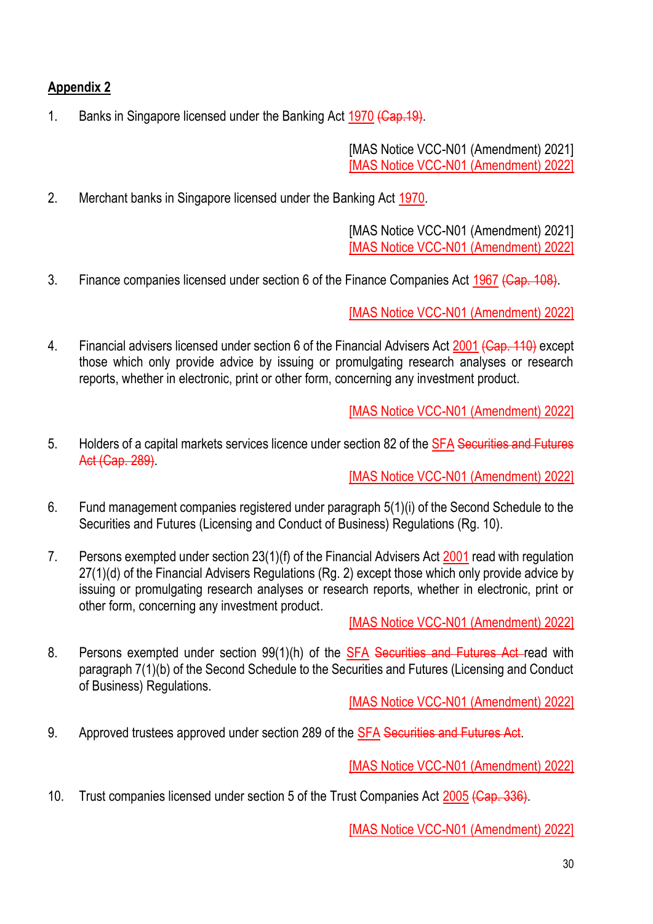# **Appendix 2**

1. Banks in Singapore licensed under the Banking Act 1970 (Cap. 19).

[MAS Notice VCC-N01 (Amendment) 2021] [MAS Notice VCC-N01 (Amendment) 2022]

2. Merchant banks in Singapore licensed under the Banking Act 1970.

[MAS Notice VCC-N01 (Amendment) 2021] [MAS Notice VCC-N01 (Amendment) 2022]

3. Finance companies licensed under section 6 of the Finance Companies Act 1967 (Cap. 108).

[MAS Notice VCC-N01 (Amendment) 2022]

4. Financial advisers licensed under section 6 of the Financial Advisers Act 2001 (Cap. 110) except those which only provide advice by issuing or promulgating research analyses or research reports, whether in electronic, print or other form, concerning any investment product.

[MAS Notice VCC-N01 (Amendment) 2022]

5. Holders of a capital markets services licence under section 82 of the SFA Securities and Futures Act (Cap. 289).

[MAS Notice VCC-N01 (Amendment) 2022]

- 6. Fund management companies registered under paragraph 5(1)(i) of the Second Schedule to the Securities and Futures (Licensing and Conduct of Business) Regulations (Rg. 10).
- 7. Persons exempted under section 23(1)(f) of the Financial Advisers Act 2001 read with regulation 27(1)(d) of the Financial Advisers Regulations (Rg. 2) except those which only provide advice by issuing or promulgating research analyses or research reports, whether in electronic, print or other form, concerning any investment product.

[MAS Notice VCC-N01 (Amendment) 2022]

8. Persons exempted under section 99(1)(h) of the SFA Securities and Futures Act read with paragraph 7(1)(b) of the Second Schedule to the Securities and Futures (Licensing and Conduct of Business) Regulations.

[MAS Notice VCC-N01 (Amendment) 2022]

9. Approved trustees approved under section 289 of the **SFA Securities and Futures Act**.

[MAS Notice VCC-N01 (Amendment) 2022]

10. Trust companies licensed under section 5 of the Trust Companies Act 2005 (Cap. 336).